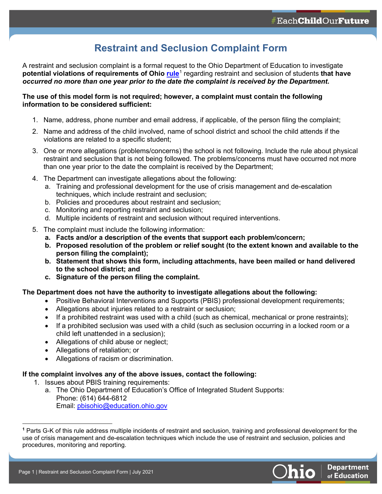## **Restraint and Seclusion Complaint Form**

A restraint and seclusion complaint is a formal request to the Ohio Department of Education to investigate **potential violations of requirements of Ohio [rule](https://codes.ohio.gov/ohio-administrative-code/rule-3301-35-15)**[1](#page-0-0) regarding restraint and seclusion of students **that have**  *occurred no more than one year prior to the date the complaint is received by the Department***.**

#### **The use of this model form is not required; however, a complaint must contain the following information to be considered sufficient:**

- 1. Name, address, phone number and email address, if applicable, of the person filing the complaint;
- 2. Name and address of the child involved, name of school district and school the child attends if the violations are related to a specific student;
- 3. One or more allegations (problems/concerns) the school is not following. Include the rule about physical restraint and seclusion that is not being followed. The problems/concerns must have occurred not more than one year prior to the date the complaint is received by the Department;
- 4. The Department can investigate allegations about the following:
	- a. Training and professional development for the use of crisis management and de-escalation techniques, which include restraint and seclusion;
	- b. Policies and procedures about restraint and seclusion;
	- c. Monitoring and reporting restraint and seclusion;
	- d. Multiple incidents of restraint and seclusion without required interventions.
- 5. The complaint must include the following information:
	- **a. Facts and/or a description of the events that support each problem/concern;**
	- **b. Proposed resolution of the problem or relief sought (to the extent known and available to the person filing the complaint);**
	- **b. Statement that shows this form, including attachments, have been mailed or hand delivered to the school district; and**
	- **c. Signature of the person filing the complaint.**

#### **The Department does not have the authority to investigate allegations about the following:**

- Positive Behavioral Interventions and Supports (PBIS) professional development requirements;
- Allegations about injuries related to a restraint or seclusion;
- If a prohibited restraint was used with a child (such as chemical, mechanical or prone restraints);
- If a prohibited seclusion was used with a child (such as seclusion occurring in a locked room or a child left unattended in a seclusion);
- Allegations of child abuse or neglect;
- Allegations of retaliation; or
- Allegations of racism or discrimination.

#### **If the complaint involves any of the above issues, contact the following:**

- 1. Issues about PBIS training requirements:
	- a. The Ohio Department of Education's Office of Integrated Student Supports: Phone: (614) 644-6812 Email: [pbisohio@education.ohio.gov](mailto:pbisohio@education.ohio.gov)

<span id="page-0-0"></span>**<sup>1</sup>** Parts G-K of this rule address multiple incidents of restraint and seclusion, training and professional development for the use of crisis management and de-escalation techniques which include the use of restraint and seclusion, policies and procedures, monitoring and reporting.

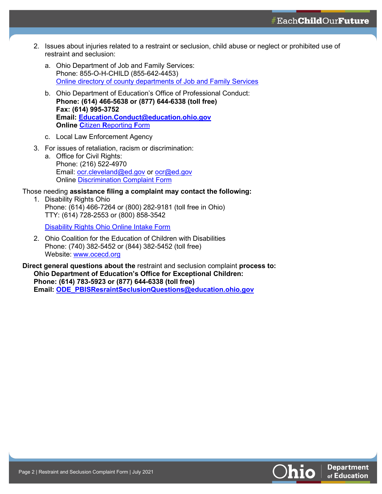$\# \text{Each} \textbf{ChildOur} \textbf{Future}$ 

- 2. Issues about injuries related to a restraint or seclusion, child abuse or neglect or prohibited use of restraint and seclusion:
	- a. Ohio Department of Job and Family Services: Phone: 855-O-H-CHILD (855-642-4453) Online directory [of county departments of Job and Family Services](https://jfs.ohio.gov/County/County_Directory.pdf)
	- b. Ohio Department of Education's Office of Professional Conduct: **Phone: (614) 466-5638 or (877) 644-6338 (toll free) Fax: (614) 995-3752 Email: [Education.Conduct@education.ohio.gov](mailto:Education.Conduct@education.ohio.gov) Online C**itizen **R**[eporting](http://education.ohio.gov/getattachment/Topics/Teaching/Educator-Conduct/Educator-Professional-Conduct-Forms/Citizen-Reporting-Form.pdf.aspx) **F**orm
	- c. Local Law Enforcement Agency
- 3. For issues of retaliation, racism or discrimination:
	- a. Office for Civil Rights: Phone: (216) 522-4970 Email: [ocr.cleveland@ed.gov](mailto:ocr.cleveland@ed.gov) or [ocr@ed.gov](mailto:ocr@ed.gov) Online [Discrimination Complaint Form](https://www2.ed.gov/about/offices/list/ocr/complaintform.pdf)

#### Those needing **assistance filing a complaint may contact the following:**

1. Disability Rights Ohio Phone: (614) 466-7264 or (800) 282-9181 (toll free in Ohio) TTY: (614) 728-2553 or (800) 858-3542

[Disability Rights Ohio Online Intake Form](https://www.disabilityrightsohio.org/intake-form)

2. Ohio Coalition for the Education of Children with Disabilities Phone: (740) 382-5452 or (844) 382-5452 (toll free) Website: [www.ocecd.org](http://www.ocecd.org/) 

**Direct general questions about the** restraint and seclusion complaint **process to: Ohio Department of Education's Office for Exceptional Children: Phone: (614) 783-5923 or (877) 644-6338 (toll free) Email: [ODE\\_PBISResraintSeclusionQ](mailto:ODE_PBISResraintSeclusionQuestions@education.ohio.gov)uestions@education.ohio.gov**

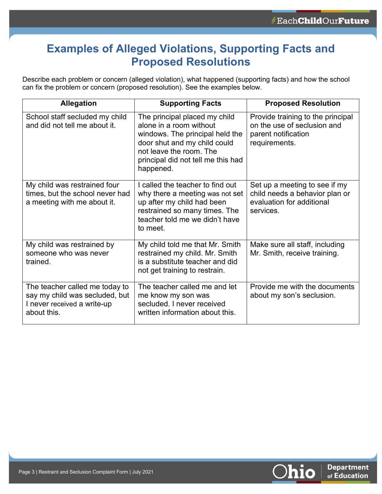# **Examples of Alleged Violations, Supporting Facts and Proposed Resolutions**

Describe each problem or concern (alleged violation), what happened (supporting facts) and how the school can fix the problem or concern (proposed resolution). See the examples below.

| <b>Allegation</b>                                                                                              | <b>Supporting Facts</b>                                                                                                                                                                                   | <b>Proposed Resolution</b>                                                                                |
|----------------------------------------------------------------------------------------------------------------|-----------------------------------------------------------------------------------------------------------------------------------------------------------------------------------------------------------|-----------------------------------------------------------------------------------------------------------|
| School staff secluded my child<br>and did not tell me about it.                                                | The principal placed my child<br>alone in a room without<br>windows. The principal held the<br>door shut and my child could<br>not leave the room. The<br>principal did not tell me this had<br>happened. | Provide training to the principal<br>on the use of seclusion and<br>parent notification<br>requirements.  |
| My child was restrained four<br>times, but the school never had<br>a meeting with me about it.                 | I called the teacher to find out<br>why there a meeting was not set<br>up after my child had been<br>restrained so many times. The<br>teacher told me we didn't have<br>to meet.                          | Set up a meeting to see if my<br>child needs a behavior plan or<br>evaluation for additional<br>services. |
| My child was restrained by<br>someone who was never<br>trained.                                                | My child told me that Mr. Smith<br>restrained my child. Mr. Smith<br>is a substitute teacher and did<br>not get training to restrain.                                                                     | Make sure all staff, including<br>Mr. Smith, receive training.                                            |
| The teacher called me today to<br>say my child was secluded, but<br>I never received a write-up<br>about this. | The teacher called me and let<br>me know my son was<br>secluded. I never received<br>written information about this.                                                                                      | Provide me with the documents<br>about my son's seclusion.                                                |

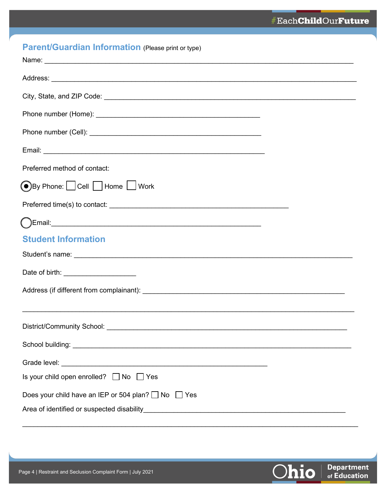| <b>Parent/Guardian Information (Please print or type)</b> |  |
|-----------------------------------------------------------|--|
|-----------------------------------------------------------|--|

| Preferred method of contact:                                                                                                                                                                                                         |  |  |
|--------------------------------------------------------------------------------------------------------------------------------------------------------------------------------------------------------------------------------------|--|--|
| <b>O</b> By Phone: Cell Home Work                                                                                                                                                                                                    |  |  |
|                                                                                                                                                                                                                                      |  |  |
|                                                                                                                                                                                                                                      |  |  |
| <b>Student Information</b>                                                                                                                                                                                                           |  |  |
|                                                                                                                                                                                                                                      |  |  |
| Date of birth: ______________________                                                                                                                                                                                                |  |  |
|                                                                                                                                                                                                                                      |  |  |
|                                                                                                                                                                                                                                      |  |  |
|                                                                                                                                                                                                                                      |  |  |
| School building: <u>www.community.com and contract and contract and contract and contract and contract and contract and contract and contract and contract and contract and contract and contract and contract and contract and </u> |  |  |
|                                                                                                                                                                                                                                      |  |  |
| Is your child open enrolled? $\Box$ No $\Box$ Yes                                                                                                                                                                                    |  |  |
| Does your child have an IEP or 504 plan? □ No □ Yes                                                                                                                                                                                  |  |  |
|                                                                                                                                                                                                                                      |  |  |

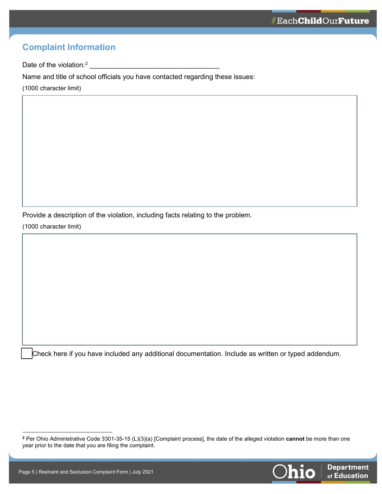## **Complaint Information**

Date of the violation:<sup>2</sup> [2](#page-4-0) \_\_\_\_\_\_\_\_\_\_\_\_\_\_\_\_\_\_\_\_\_\_\_\_\_\_\_\_\_\_\_\_\_\_

Name and title of school officials you have contacted regarding these issues:

(1000 character limit)

Provide a description of the violation, including facts relating to the problem.

(1000 character limit)

Check here if you have included any additional documentation. Include as written or typed addendum.

<span id="page-4-0"></span>**<sup>2</sup>** Per Ohio Administrative Code 3301-35-15 (L)(3)(a) [Complaint process], the date of the alleged violation **cannot** be more than one year prior to the date that you are filing the complaint.

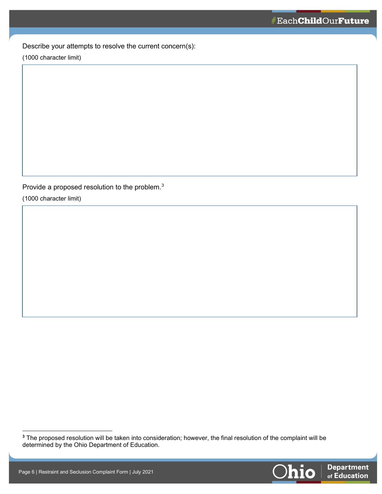Describe your attempts to resolve the current concern(s):

(1000 character limit)

Provide a proposed resolution to the problem. $^3$  $^3$ 

(1000 character limit)

<span id="page-5-0"></span>**<sup>3</sup>** The proposed resolution will be taken into consideration; however, the final resolution of the complaint will be determined by the Ohio Department of Education.